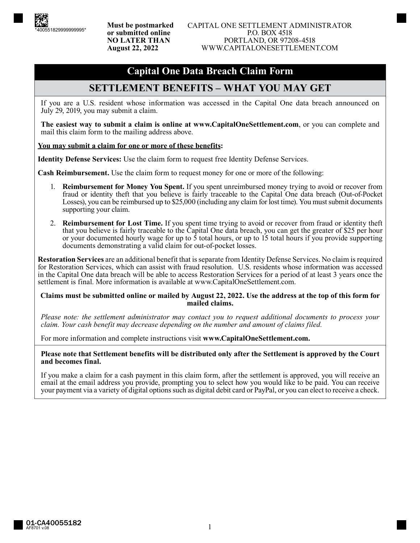# **Capital One Data Breach Claim Form**

## **SETTLEMENT BENEFITS – WHAT YOU MAY GET**

If you are a U.S. resident whose information was accessed in the Capital One data breach announced on July 29, 2019, you may submit a claim.

**The easiest way to submit a claim is online at www.CapitalOneSettlement.com**, or you can complete and mail this claim form to the mailing address above.

#### **You may submit a claim for one or more of these benefits:**

**Identity Defense Services:** Use the claim form to request free Identity Defense Services.

**Cash Reimbursement.** Use the claim form to request money for one or more of the following:

- 1. **Reimbursement for Money You Spent.** If you spent unreimbursed money trying to avoid or recover from fraud or identity theft that you believe is fairly traceable to the Capital One data breach (Out-of-Pocket Losses), you can be reimbursed up to \$25,000 (including any claim for lost time). You must submit documents supporting your claim.
- 2. **Reimbursement for Lost Time.** If you spent time trying to avoid or recover from fraud or identity theft that you believe is fairly traceable to the Capital One data breach, you can get the greater of \$25 per hour or your documented hourly wage for up to 5 total hours, or up to 15 total hours if you provide supporting documents demonstrating a valid claim for out-of-pocket losses.

**Restoration Services** are an additional benefit that is separate from Identity Defense Services. No claim is required for Restoration Services, which can assist with fraud resolution. U.S. residents whose information was accessed in the Capital One data breach will be able to access Restoration Services for a period of at least 3 years once the settlement is final. More information is available at www.CapitalOneSettlement.com.

#### **Claims must be submitted online or mailed by August 22, 2022. Use the address at the top of this form for mailed claims.**

*Please note: the settlement administrator may contact you to request additional documents to process your claim. Your cash benefit may decrease depending on the number and amount of claims filed.*

For more information and complete instructions visit **www.CapitalOneSettlement.com.**

#### **Please note that Settlement benefits will be distributed only after the Settlement is approved by the Court and becomes final.**

If you make a claim for a cash payment in this claim form, after the settlement is approved, you will receive an email at the email address you provide, prompting you to select how you would like to be paid. You can receive your payment via a variety of digital options such as digital debit card or PayPal, or you can elect to receive a check.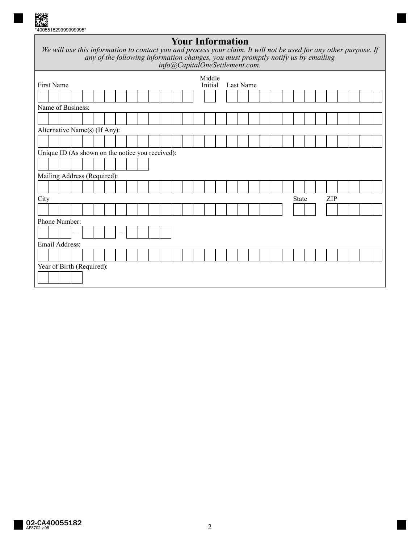

# **Your Information**

| We will use this information to contact you and process your claim. It will not be used for any other purpose. If |
|-------------------------------------------------------------------------------------------------------------------|
| any of the following information changes, you must promptly notify us by emailing                                 |
| info@CapitalOneSettlement.com.                                                                                    |
|                                                                                                                   |

| First Name |                                                  |  |                   |  |  |  |                          |  |  | Middle<br>Initial | Last Name |  |  |  |  |  |  |  |  |  |       |  |  |     |  |  |  |
|------------|--------------------------------------------------|--|-------------------|--|--|--|--------------------------|--|--|-------------------|-----------|--|--|--|--|--|--|--|--|--|-------|--|--|-----|--|--|--|
|            |                                                  |  |                   |  |  |  |                          |  |  |                   |           |  |  |  |  |  |  |  |  |  |       |  |  |     |  |  |  |
|            | Name of Business:                                |  |                   |  |  |  |                          |  |  |                   |           |  |  |  |  |  |  |  |  |  |       |  |  |     |  |  |  |
|            |                                                  |  |                   |  |  |  |                          |  |  |                   |           |  |  |  |  |  |  |  |  |  |       |  |  |     |  |  |  |
|            | Alternative Name(s) (If Any):                    |  |                   |  |  |  |                          |  |  |                   |           |  |  |  |  |  |  |  |  |  |       |  |  |     |  |  |  |
|            |                                                  |  |                   |  |  |  |                          |  |  |                   |           |  |  |  |  |  |  |  |  |  |       |  |  |     |  |  |  |
|            | Unique ID (As shown on the notice you received): |  |                   |  |  |  |                          |  |  |                   |           |  |  |  |  |  |  |  |  |  |       |  |  |     |  |  |  |
|            |                                                  |  |                   |  |  |  |                          |  |  |                   |           |  |  |  |  |  |  |  |  |  |       |  |  |     |  |  |  |
|            | Mailing Address (Required):                      |  |                   |  |  |  |                          |  |  |                   |           |  |  |  |  |  |  |  |  |  |       |  |  |     |  |  |  |
|            |                                                  |  |                   |  |  |  |                          |  |  |                   |           |  |  |  |  |  |  |  |  |  |       |  |  |     |  |  |  |
| City       |                                                  |  |                   |  |  |  |                          |  |  |                   |           |  |  |  |  |  |  |  |  |  | State |  |  | ZIP |  |  |  |
|            |                                                  |  |                   |  |  |  |                          |  |  |                   |           |  |  |  |  |  |  |  |  |  |       |  |  |     |  |  |  |
|            | Phone Number:                                    |  |                   |  |  |  |                          |  |  |                   |           |  |  |  |  |  |  |  |  |  |       |  |  |     |  |  |  |
|            |                                                  |  | $\qquad \qquad -$ |  |  |  | $\overline{\phantom{0}}$ |  |  |                   |           |  |  |  |  |  |  |  |  |  |       |  |  |     |  |  |  |
|            | Email Address:                                   |  |                   |  |  |  |                          |  |  |                   |           |  |  |  |  |  |  |  |  |  |       |  |  |     |  |  |  |
|            |                                                  |  |                   |  |  |  |                          |  |  |                   |           |  |  |  |  |  |  |  |  |  |       |  |  |     |  |  |  |
|            | Year of Birth (Required):                        |  |                   |  |  |  |                          |  |  |                   |           |  |  |  |  |  |  |  |  |  |       |  |  |     |  |  |  |
|            |                                                  |  |                   |  |  |  |                          |  |  |                   |           |  |  |  |  |  |  |  |  |  |       |  |  |     |  |  |  |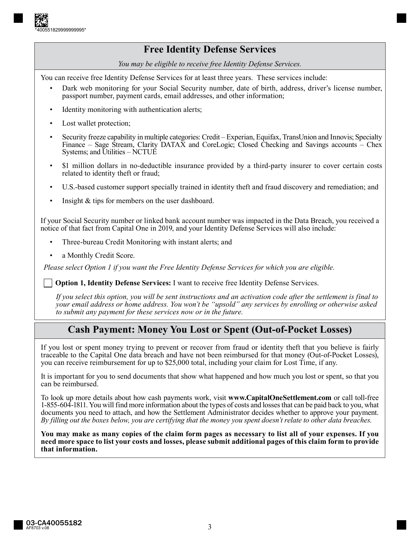

## **Free Identity Defense Services**

*You may be eligible to receive free Identity Defense Services.*

You can receive free Identity Defense Services for at least three years. These services include:

- Dark web monitoring for your Social Security number, date of birth, address, driver's license number, passport number, payment cards, email addresses, and other information;
- Identity monitoring with authentication alerts;
- Lost wallet protection;
- Security freeze capability in multiple categories: Credit Experian, Equifax, TransUnion and Innovis; Specialty Finance – Sage Stream, Clarity DATAX and CoreLogic; Closed Checking and Savings accounts – Chex Systems; and Utilities – NCTUE
- \$1 million dollars in no-deductible insurance provided by a third-party insurer to cover certain costs related to identity theft or fraud;
- U.S.-based customer support specially trained in identity theft and fraud discovery and remediation; and
- Insight & tips for members on the user dashboard.

If your Social Security number or linked bank account number was impacted in the Data Breach, you received a notice of that fact from Capital One in 2019, and your Identity Defense Services will also include:

- Three-bureau Credit Monitoring with instant alerts; and
- a Monthly Credit Score.

*Please select Option 1 if you want the Free Identity Defense Services for which you are eligible.*

**Option 1, Identity Defense Services:** I want to receive free Identity Defense Services.

*If you select this option, you will be sent instructions and an activation code after the settlement is final to your email address or home address. You won't be "upsold" any services by enrolling or otherwise asked to submit any payment for these services now or in the future.*

## **Cash Payment: Money You Lost or Spent (Out-of-Pocket Losses)**

If you lost or spent money trying to prevent or recover from fraud or identity theft that you believe is fairly traceable to the Capital One data breach and have not been reimbursed for that money (Out-of-Pocket Losses), you can receive reimbursement for up to \$25,000 total, including your claim for Lost Time, if any.

It is important for you to send documents that show what happened and how much you lost or spent, so that you can be reimbursed.

To look up more details about how cash payments work, visit **www.CapitalOneSettlement.com** or call toll-free 1-855-604-1811. You will find more information about the types of costs and losses that can be paid back to you, what documents you need to attach, and how the Settlement Administrator decides whether to approve your payment. *By filling out the boxes below, you are certifying that the money you spent doesn't relate to other data breaches.*

**You may make as many copies of the claim form pages as necessary to list all of your expenses. If you need more space to list your costs and losses, please submit additional pages of this claim form to provide that information.**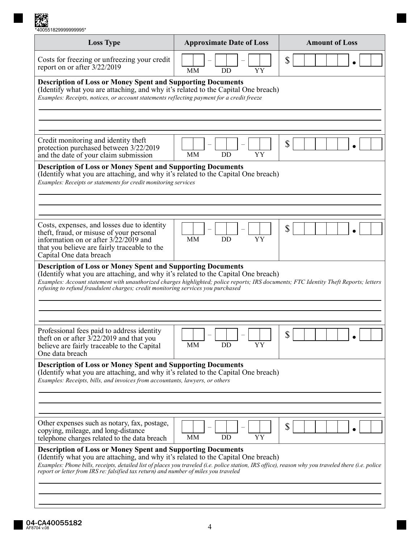| *400551829999999995* |  |
|----------------------|--|

| <b>Loss Type</b>                                                                                                                                                                                                                                                                                                                                                                                       | <b>Approximate Date of Loss</b> | <b>Amount of Loss</b> |  |  |  |  |  |  |
|--------------------------------------------------------------------------------------------------------------------------------------------------------------------------------------------------------------------------------------------------------------------------------------------------------------------------------------------------------------------------------------------------------|---------------------------------|-----------------------|--|--|--|--|--|--|
| Costs for freezing or unfreezing your credit<br>report on or after 3/22/2019                                                                                                                                                                                                                                                                                                                           | MM<br>YY<br>DD                  | \$                    |  |  |  |  |  |  |
| <b>Description of Loss or Money Spent and Supporting Documents</b><br>(Identify what you are attaching, and why it's related to the Capital One breach)<br>Examples: Receipts, notices, or account statements reflecting payment for a credit freeze                                                                                                                                                   |                                 |                       |  |  |  |  |  |  |
|                                                                                                                                                                                                                                                                                                                                                                                                        |                                 |                       |  |  |  |  |  |  |
| Credit monitoring and identity theft<br>protection purchased between 3/22/2019<br>and the date of your claim submission                                                                                                                                                                                                                                                                                | YY<br>MМ<br>DD                  | \$                    |  |  |  |  |  |  |
| <b>Description of Loss or Money Spent and Supporting Documents</b><br>(Identify what you are attaching, and why it's related to the Capital One breach)<br>Examples: Receipts or statements for credit monitoring services                                                                                                                                                                             |                                 |                       |  |  |  |  |  |  |
|                                                                                                                                                                                                                                                                                                                                                                                                        |                                 |                       |  |  |  |  |  |  |
| Costs, expenses, and losses due to identity<br>theft, fraud, or misuse of your personal<br>information on or after $3/22/2019$ and<br>that you believe are fairly traceable to the<br>Capital One data breach                                                                                                                                                                                          | MM<br>DD<br>YY                  | \$                    |  |  |  |  |  |  |
| <b>Description of Loss or Money Spent and Supporting Documents</b><br>(Identify what you are attaching, and why it's related to the Capital One breach)<br>Examples: Account statement with unauthorized charges highlighted; police reports; IRS documents; FTC Identity Theft Reports; letters<br>refusing to refund fraudulent charges; credit monitoring services you purchased                    |                                 |                       |  |  |  |  |  |  |
|                                                                                                                                                                                                                                                                                                                                                                                                        |                                 |                       |  |  |  |  |  |  |
| Professional fees paid to address identity<br>theft on or after 3/22/2019 and that you<br>believe are fairly traceable to the Capital<br>One data breach                                                                                                                                                                                                                                               | DD<br>MМ<br>YΥ                  | \$                    |  |  |  |  |  |  |
| <b>Description of Loss or Money Spent and Supporting Documents</b><br>(Identify what you are attaching, and why it's related to the Capital One breach)<br>Examples: Receipts, bills, and invoices from accountants, lawyers, or others                                                                                                                                                                |                                 |                       |  |  |  |  |  |  |
|                                                                                                                                                                                                                                                                                                                                                                                                        |                                 |                       |  |  |  |  |  |  |
| Other expenses such as notary, fax, postage,<br>copying, mileage, and long-distance<br>telephone charges related to the data breach                                                                                                                                                                                                                                                                    | MM<br>DD<br>YΥ                  | \$                    |  |  |  |  |  |  |
| <b>Description of Loss or Money Spent and Supporting Documents</b><br>(Identify what you are attaching, and why it's related to the Capital One breach)<br>Examples: Phone bills, receipts, detailed list of places you traveled (i.e. police station, IRS office), reason why you traveled there (i.e. police<br>report or letter from IRS re: falsified tax return) and number of miles you traveled |                                 |                       |  |  |  |  |  |  |
|                                                                                                                                                                                                                                                                                                                                                                                                        |                                 |                       |  |  |  |  |  |  |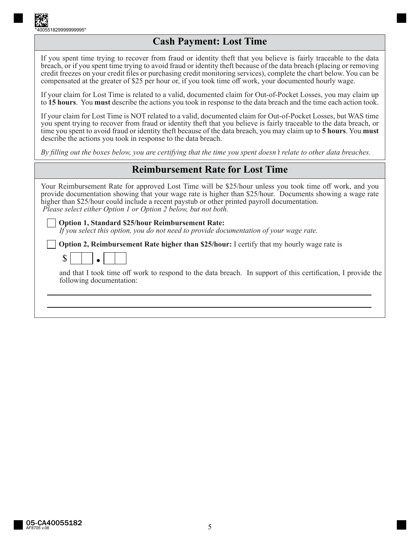

### **Cash Payment: Lost Time**

If you spent time trying to recover from fraud or identity theft that you believe is fairly traceable to the data breach, or if you spent time trying to avoid fraud or identity theft because of the data breach (placing or removing credit freezes on your credit files or purchasing credit monitoring services), complete the chart below. You can be compensated at the greater of \$25 per hour or, if you took time off work, your documented hourly wage.

If your claim for Lost Time is related to a valid, documented claim for Out-of-Pocket Losses, you may claim up to **15 hours**. You **must** describe the actions you took in response to the data breach and the time each action took.

If your claim for Lost Time is NOT related to a valid, documented claim for Out-of-Pocket Losses, but WAS time you spent trying to recover from fraud or identity theft that you believe is fairly traceable to the data breach, or time you spent to avoid fraud or identity theft because of the data breach, you may claim up to **5 hours**. You **must**  describe the actions you took in response to the data breach.

*By filling out the boxes below, you are certifying that the time you spent doesn't relate to other data breaches.*

### **Reimbursement Rate for Lost Time**

Your Reimbursement Rate for approved Lost Time will be \$25/hour unless you took time off work, and you provide documentation showing that your wage rate is higher than \$25/hour. Documents showing a wage rate higher than \$25/hour could include a recent paystub or other printed payroll documentation.  *Please select either Option 1 or Option 2 below, but not both.*

**Option 1, Standard \$25/hour Reimbursement Rate:** 

*If you select this option, you do not need to provide documentation of your wage rate.*

**Option 2, Reimbursement Rate higher than \$25/hour:** I certify that my hourly wage rate is

| { |  |  |  |  |
|---|--|--|--|--|
|---|--|--|--|--|

and that I took time off work to respond to the data breach. In support of this certification, I provide the following documentation: